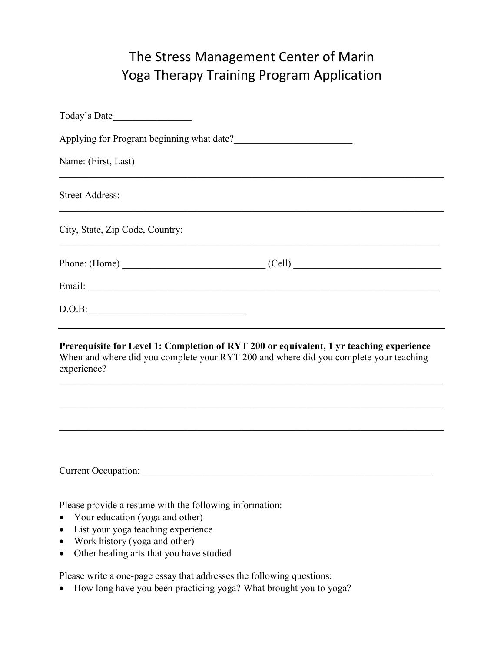## The Stress Management Center of Marin Yoga Therapy Training Program Application

| Today's Date                                                                                                                                                                                    |
|-------------------------------------------------------------------------------------------------------------------------------------------------------------------------------------------------|
| Applying for Program beginning what date?                                                                                                                                                       |
| Name: (First, Last)                                                                                                                                                                             |
| <b>Street Address:</b>                                                                                                                                                                          |
| City, State, Zip Code, Country:                                                                                                                                                                 |
| $Phone: (Home)$ $\qquad \qquad (Cell)$                                                                                                                                                          |
|                                                                                                                                                                                                 |
| D.O.B.                                                                                                                                                                                          |
| Prerequisite for Level 1: Completion of RYT 200 or equivalent, 1 yr teaching experience<br>When and where did you complete your RYT 200 and where did you complete your teaching<br>experience? |
|                                                                                                                                                                                                 |
|                                                                                                                                                                                                 |
| ,我们也不能在这里的人,我们也不能在这里的人,我们也不能在这里的人,我们也不能在这里的人,我们也不能在这里的人,我们也不能在这里的人,我们也不能在这里的人,我们也                                                                                                               |
|                                                                                                                                                                                                 |
| Please provide a resume with the following information:                                                                                                                                         |

- Your education (yoga and other)
- List your yoga teaching experience
- Work history (yoga and other)
- Other healing arts that you have studied

Please write a one-page essay that addresses the following questions:

• How long have you been practicing yoga? What brought you to yoga?